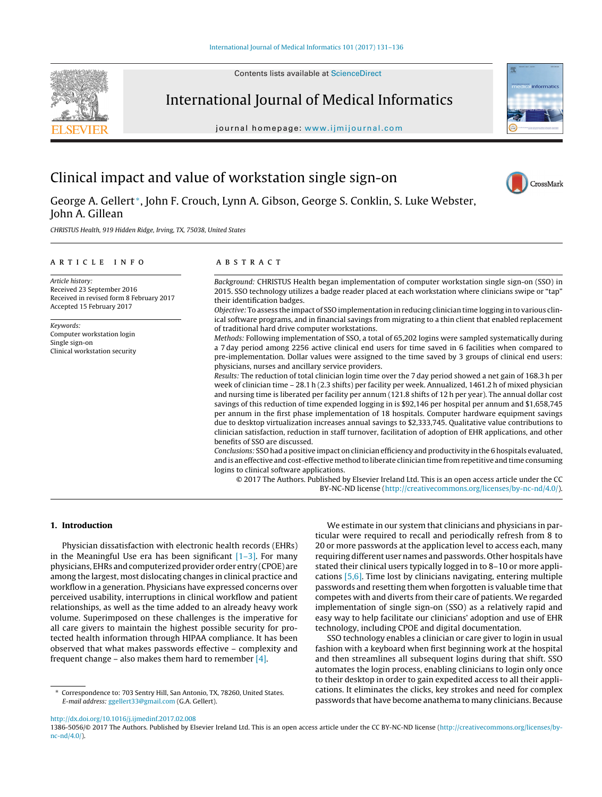Contents lists available at [ScienceDirect](http://www.sciencedirect.com/science/journal/13865056)



# International Journal of Medical Informatics

journal homepage: [www.ijmijournal.com](http://www.ijmijournal.com)



# Clinical impact and value of workstation single sign-on

George A. Gellert <sup>∗</sup>, John F. Crouch, Lynn A. Gibson, George S. Conklin, S. Luke Webster, John A. Gillean

CHRISTUS Health, 919 Hidden Ridge, Irving, TX, 75038, United States

### a r t i c l e i n f o

Article history: Received 23 September 2016 Received in revised form 8 February 2017 Accepted 15 February 2017

Keywords: Computer workstation login Single sign-on Clinical workstation security

# A B S T R A C T

Background: CHRISTUS Health began implementation of computer workstation single sign-on (SSO) in 2015. SSO technology utilizes a badge reader placed at each workstation where clinicians swipe or "tap" their identification badges.

Objective: To assess the impact of SSO implementation in reducing clinician time logging in to various clinical software programs, and in financial savings from migrating to a thin client that enabled replacement of traditional hard drive computer workstations.

Methods: Following implementation of SSO, a total of 65,202 logins were sampled systematically during a 7 day period among 2256 active clinical end users for time saved in 6 facilities when compared to pre-implementation. Dollar values were assigned to the time saved by 3 groups of clinical end users: physicians, nurses and ancillary service providers.

Results: The reduction of total clinician login time over the 7 day period showed a net gain of 168.3 h per week of clinician time – 28.1 h (2.3 shifts) per facility per week. Annualized, 1461.2 h of mixed physician and nursing time is liberated per facility per annum (121.8 shifts of 12 h per year). The annual dollar cost savings of this reduction of time expended logging in is \$92,146 per hospital per annum and \$1,658,745 per annum in the first phase implementation of 18 hospitals. Computer hardware equipment savings due to desktop virtualization increases annual savings to \$2,333,745. Qualitative value contributions to clinician satisfaction, reduction in staff turnover, facilitation of adoption of EHR applications, and other benefits of SSO are discussed.

Conclusions: SSO had a positive impact on clinician efficiency and productivity in the 6 hospitals evaluated, and is an effective and cost-effective method to liberate clinician time from repetitive and time consuming logins to clinical software applications.

© 2017 The Authors. Published by Elsevier Ireland Ltd. This is an open access article under the CC BY-NC-ND license [\(http://creativecommons.org/licenses/by-nc-nd/4.0/](http://creativecommons.org/licenses/by-nc-nd/4.0/)).

# **1. Introduction**

Physician dissatisfaction with electronic health records (EHRs) in the Meaningful Use era has been significant  $[1-3]$ . For many physicians, EHRs and computerized provider order entry (CPOE) are among the largest, most dislocating changes in clinical practice and workflow in a generation. Physicians have expressed concerns over perceived usability, interruptions in clinical workflow and patient relationships, as well as the time added to an already heavy work volume. Superimposed on these challenges is the imperative for all care givers to maintain the highest possible security for protected health information through HIPAA compliance. It has been observed that what makes passwords effective – complexity and frequent change – also makes them hard to remember  $[4]$ .

We estimate in our system that clinicians and physicians in particular were required to recall and periodically refresh from 8 to 20 or more passwords at the application level to access each, many requiring different user names and passwords. Other hospitals have stated their clinical users typically logged in to 8–10 or more applications [\[5,6\].](#page-5-0) Time lost by clinicians navigating, entering multiple passwords and resetting them when forgotten is valuable time that competes with and diverts from their care of patients. We regarded implementation of single sign-on (SSO) as a relatively rapid and easy way to help facilitate our clinicians' adoption and use of EHR technology, including CPOE and digital documentation.

SSO technology enables a clinician or care giver to login in usual fashion with a keyboard when first beginning work at the hospital and then streamlines all subsequent logins during that shift. SSO automates the login process, enabling clinicians to login only once to their desktop in order to gain expedited access to all their applications. It eliminates the clicks, key strokes and need for complex passwords that have become anathema to many clinicians. Because

[http://dx.doi.org/10.1016/j.ijmedinf.2017.02.008](dx.doi.org/10.1016/j.ijmedinf.2017.02.008)



<sup>∗</sup> Correspondence to: 703 Sentry Hill, San Antonio, TX, 78260, United States. E-mail address: [ggellert33@gmail.com](mailto:ggellert33@gmail.com) (G.A. Gellert).

<sup>1386-5056/©</sup> 2017 The Authors. Published by Elsevier Ireland Ltd. This is an open access article under the CC BY-NC-ND license ([http://creativecommons.org/licenses/by](http://creativecommons.org/licenses/by-nc-nd/4.0/)[nc-nd/4.0/](http://creativecommons.org/licenses/by-nc-nd/4.0/)).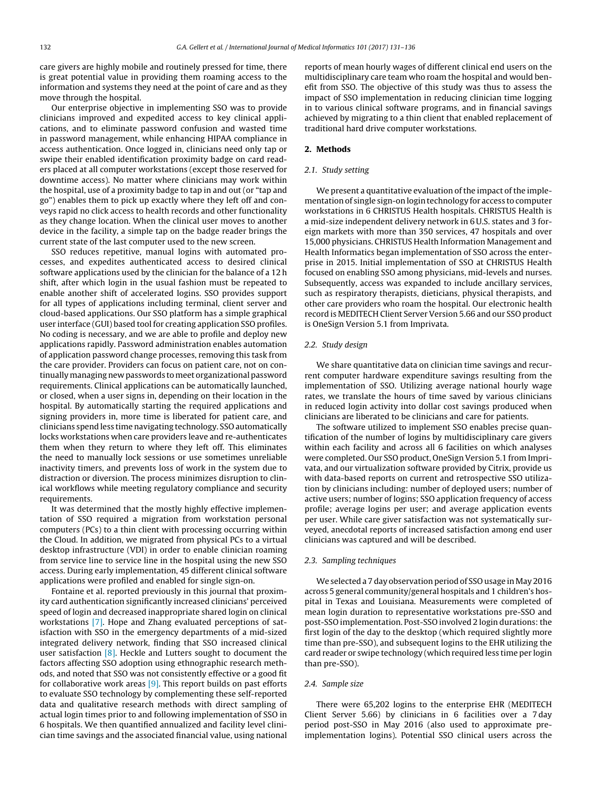care givers are highly mobile and routinely pressed for time, there is great potential value in providing them roaming access to the information and systems they need at the point of care and as they move through the hospital.

Our enterprise objective in implementing SSO was to provide clinicians improved and expedited access to key clinical applications, and to eliminate password confusion and wasted time in password management, while enhancing HIPAA compliance in access authentication. Once logged in, clinicians need only tap or swipe their enabled identification proximity badge on card readers placed at all computer workstations (except those reserved for downtime access). No matter where clinicians may work within the hospital, use of a proximity badge to tap in and out (or "tap and go") enables them to pick up exactly where they left off and conveys rapid no click access to health records and other functionality as they change location. When the clinical user moves to another device in the facility, a simple tap on the badge reader brings the current state of the last computer used to the new screen.

SSO reduces repetitive, manual logins with automated processes, and expedites authenticated access to desired clinical software applications used by the clinician for the balance of a 12 h shift, after which login in the usual fashion must be repeated to enable another shift of accelerated logins. SSO provides support for all types of applications including terminal, client server and cloud-based applications. Our SSO platform has a simple graphical user interface (GUI) based tool for creating application SSO profiles. No coding is necessary, and we are able to profile and deploy new applications rapidly. Password administration enables automation of application password change processes, removing this task from the care provider. Providers can focus on patient care, not on continually managing new passwords to meet organizational password requirements. Clinical applications can be automatically launched, or closed, when a user signs in, depending on their location in the hospital. By automatically starting the required applications and signing providers in, more time is liberated for patient care, and clinicians spend less time navigating technology. SSO automatically locks workstations when care providers leave and re-authenticates them when they return to where they left off. This eliminates the need to manually lock sessions or use sometimes unreliable inactivity timers, and prevents loss of work in the system due to distraction or diversion. The process minimizes disruption to clinical workflows while meeting regulatory compliance and security requirements.

It was determined that the mostly highly effective implementation of SSO required a migration from workstation personal computers (PCs) to a thin client with processing occurring within the Cloud. In addition, we migrated from physical PCs to a virtual desktop infrastructure (VDI) in order to enable clinician roaming from service line to service line in the hospital using the new SSO access. During early implementation, 45 different clinical software applications were profiled and enabled for single sign-on.

Fontaine et al. reported previously in this journal that proximity card authentication significantly increased clinicians' perceived speed of login and decreased inappropriate shared login on clinical workstations [\[7\].](#page-5-0) Hope and Zhang evaluated perceptions of satisfaction with SSO in the emergency departments of a mid-sized integrated delivery network, finding that SSO increased clinical user satisfaction  $[8]$ . Heckle and Lutters sought to document the factors affecting SSO adoption using ethnographic research methods, and noted that SSO was not consistently effective or a good fit for collaborative work areas [\[9\].](#page-5-0) This report builds on past efforts to evaluate SSO technology by complementing these self-reported data and qualitative research methods with direct sampling of actual login times prior to and following implementation of SSO in 6 hospitals. We then quantified annualized and facility level clinician time savings and the associated financial value, using national

reports of mean hourly wages of different clinical end users on the multidisciplinary care team who roam the hospital and would benefit from SSO. The objective of this study was thus to assess the impact of SSO implementation in reducing clinician time logging in to various clinical software programs, and in financial savings achieved by migrating to a thin client that enabled replacement of traditional hard drive computer workstations.

#### **2. Methods**

# 2.1. Study setting

We present a quantitative evaluation of the impact of the implementation of single sign-on login technology for access to computer workstations in 6 CHRISTUS Health hospitals. CHRISTUS Health is a mid-size independent delivery network in 6 U.S. states and 3 foreign markets with more than 350 services, 47 hospitals and over 15,000 physicians. CHRISTUS Health Information Management and Health Informatics began implementation of SSO across the enterprise in 2015. Initial implementation of SSO at CHRISTUS Health focused on enabling SSO among physicians, mid-levels and nurses. Subsequently, access was expanded to include ancillary services, such as respiratory therapists, dieticians, physical therapists, and other care providers who roam the hospital. Our electronic health record is MEDITECH Client Server Version 5.66 and our SSO product is OneSign Version 5.1 from Imprivata.

#### 2.2. Study design

We share quantitative data on clinician time savings and recurrent computer hardware expenditure savings resulting from the implementation of SSO. Utilizing average national hourly wage rates, we translate the hours of time saved by various clinicians in reduced login activity into dollar cost savings produced when clinicians are liberated to be clinicians and care for patients.

The software utilized to implement SSO enables precise quantification of the number of logins by multidisciplinary care givers within each facility and across all 6 facilities on which analyses were completed. Our SSO product, OneSign Version 5.1 from Imprivata, and our virtualization software provided by Citrix, provide us with data-based reports on current and retrospective SSO utilization by clinicians including: number of deployed users; number of active users; number of logins; SSO application frequency of access profile; average logins per user; and average application events per user. While care giver satisfaction was not systematically surveyed, anecdotal reports of increased satisfaction among end user clinicians was captured and will be described.

# 2.3. Sampling techniques

We selected a 7 day observation period of SSO usage inMay 2016 across 5 general community/general hospitals and 1 children's hospital in Texas and Louisiana. Measurements were completed of mean login duration to representative workstations pre-SSO and post-SSO implementation. Post-SSO involved 2 login durations: the first login of the day to the desktop (which required slightly more time than pre-SSO), and subsequent logins to the EHR utilizing the card reader or swipe technology (which required less time per login than pre-SSO).

#### 2.4. Sample size

There were 65,202 logins to the enterprise EHR (MEDITECH Client Server 5.66) by clinicians in 6 facilities over a 7 day period post-SSO in May 2016 (also used to approximate preimplementation logins). Potential SSO clinical users across the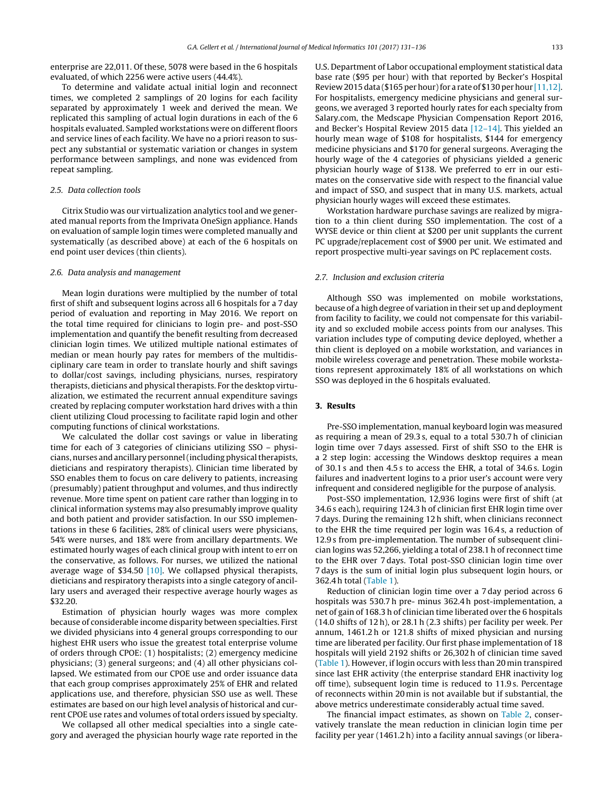enterprise are 22,011. Of these, 5078 were based in the 6 hospitals evaluated, of which 2256 were active users (44.4%).

To determine and validate actual initial login and reconnect times, we completed 2 samplings of 20 logins for each facility separated by approximately 1 week and derived the mean. We replicated this sampling of actual login durations in each of the 6 hospitals evaluated. Sampled workstations were on different floors and service lines of each facility. We have no a priori reason to suspect any substantial or systematic variation or changes in system performance between samplings, and none was evidenced from repeat sampling.

# 2.5. Data collection tools

Citrix Studio was our virtualization analytics tool and we generated manual reports from the Imprivata OneSign appliance. Hands on evaluation of sample login times were completed manually and systematically (as described above) at each of the 6 hospitals on end point user devices (thin clients).

# 2.6. Data analysis and management

Mean login durations were multiplied by the number of total first of shift and subsequent logins across all 6 hospitals for a 7 day period of evaluation and reporting in May 2016. We report on the total time required for clinicians to login pre- and post-SSO implementation and quantify the benefit resulting from decreased clinician login times. We utilized multiple national estimates of median or mean hourly pay rates for members of the multidisciplinary care team in order to translate hourly and shift savings to dollar/cost savings, including physicians, nurses, respiratory therapists, dieticians and physical therapists. For the desktop virtualization, we estimated the recurrent annual expenditure savings created by replacing computer workstation hard drives with a thin client utilizing Cloud processing to facilitate rapid login and other computing functions of clinical workstations.

We calculated the dollar cost savings or value in liberating time for each of 3 categories of clinicians utilizing SSO – physicians, nurses and ancillary personnel(including physicaltherapists, dieticians and respiratory therapists). Clinician time liberated by SSO enables them to focus on care delivery to patients, increasing (presumably) patient throughput and volumes, and thus indirectly revenue. More time spent on patient care rather than logging in to clinical information systems may also presumably improve quality and both patient and provider satisfaction. In our SSO implementations in these 6 facilities, 28% of clinical users were physicians, 54% were nurses, and 18% were from ancillary departments. We estimated hourly wages of each clinical group with intent to err on the conservative, as follows. For nurses, we utilized the national average wage of \$34.50 [\[10\].](#page-5-0) We collapsed physical therapists, dieticians and respiratory therapists into a single category of ancillary users and averaged their respective average hourly wages as \$32.20.

Estimation of physician hourly wages was more complex because of considerable income disparity between specialties. First we divided physicians into 4 general groups corresponding to our highest EHR users who issue the greatest total enterprise volume of orders through CPOE: (1) hospitalists; (2) emergency medicine physicians; (3) general surgeons; and (4) all other physicians collapsed. We estimated from our CPOE use and order issuance data that each group comprises approximately 25% of EHR and related applications use, and therefore, physician SSO use as well. These estimates are based on our high level analysis of historical and current CPOE use rates and volumes of total orders issued by specialty.

We collapsed all other medical specialties into a single category and averaged the physician hourly wage rate reported in the U.S. Department of Labor occupational employment statistical data base rate (\$95 per hour) with that reported by Becker's Hospital Review 2015 data (\$165 per hour) for a rate of \$130 per hour  $[11,12]$ . For hospitalists, emergency medicine physicians and general surgeons, we averaged 3 reported hourly rates for each specialty from Salary.com, the Medscape Physician Compensation Report 2016, and Becker's Hospital Review 2015 data [\[12–14\].](#page-5-0) This yielded an hourly mean wage of \$108 for hospitalists, \$144 for emergency medicine physicians and \$170 for general surgeons. Averaging the hourly wage of the 4 categories of physicians yielded a generic physician hourly wage of \$138. We preferred to err in our estimates on the conservative side with respect to the financial value and impact of SSO, and suspect that in many U.S. markets, actual physician hourly wages will exceed these estimates.

Workstation hardware purchase savings are realized by migration to a thin client during SSO implementation. The cost of a WYSE device or thin client at \$200 per unit supplants the current PC upgrade/replacement cost of \$900 per unit. We estimated and report prospective multi-year savings on PC replacement costs.

#### 2.7. Inclusion and exclusion criteria

Although SSO was implemented on mobile workstations, because of a high degree of variation in their set up and deployment from facility to facility, we could not compensate for this variability and so excluded mobile access points from our analyses. This variation includes type of computing device deployed, whether a thin client is deployed on a mobile workstation, and variances in mobile wireless coverage and penetration. These mobile workstations represent approximately 18% of all workstations on which SSO was deployed in the 6 hospitals evaluated.

# **3. Results**

Pre-SSO implementation, manual keyboard login was measured as requiring a mean of 29.3 s, equal to a total 530.7 h of clinician login time over 7 days assessed. First of shift SSO to the EHR is a 2 step login: accessing the Windows desktop requires a mean of 30.1 s and then 4.5 s to access the EHR, a total of 34.6 s. Login failures and inadvertent logins to a prior user's account were very infrequent and considered negligible for the purpose of analysis.

Post-SSO implementation, 12,936 logins were first of shift (at 34.6 s each), requiring 124.3 h of clinician first EHR login time over 7 days. During the remaining 12 h shift, when clinicians reconnect to the EHR the time required per login was 16.4 s, a reduction of 12.9 s from pre-implementation. The number of subsequent clinician logins was 52,266, yielding a total of 238.1 h of reconnect time to the EHR over 7 days. Total post-SSO clinician login time over 7 days is the sum of initial login plus subsequent login hours, or 362.4 h total ([Table](#page-3-0) 1).

Reduction of clinician login time over a 7 day period across 6 hospitals was 530.7 h pre- minus 362.4 h post-implementation, a net of gain of 168.3 h of clinician time liberated over the 6 hospitals (14.0 shifts of 12 h), or 28.1 h (2.3 shifts) per facility per week. Per annum, 1461.2 h or 121.8 shifts of mixed physician and nursing time are liberated per facility. Our first phase implementation of 18 hospitals will yield 2192 shifts or 26,302 h of clinician time saved [\(Table](#page-3-0) 1). However, if login occurs with less than 20 min transpired since last EHR activity (the enterprise standard EHR inactivity log off time), subsequent login time is reduced to 11.9 s. Percentage of reconnects within 20 min is not available but if substantial, the above metrics underestimate considerably actual time saved.

The financial impact estimates, as shown on [Table](#page-3-0) 2, conservatively translate the mean reduction in clinician login time per facility per year (1461.2 h) into a facility annual savings (or libera-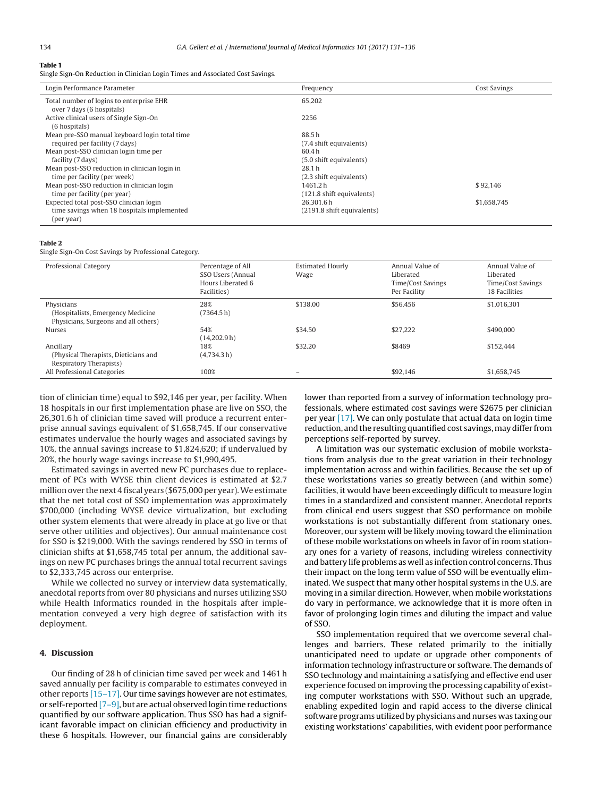# <span id="page-3-0"></span>**Table 1**

Single Sign-On Reduction in Clinician Login Times and Associated Cost Savings.

| Login Performance Parameter                   | Frequency                  | <b>Cost Savings</b> |
|-----------------------------------------------|----------------------------|---------------------|
| Total number of logins to enterprise EHR      | 65.202                     |                     |
| over 7 days (6 hospitals)                     |                            |                     |
| Active clinical users of Single Sign-On       | 2256                       |                     |
| (6 hospitals)                                 |                            |                     |
| Mean pre-SSO manual keyboard login total time | 88.5h                      |                     |
| required per facility (7 days)                | (7.4 shift equivalents)    |                     |
| Mean post-SSO clinician login time per        | 60.4h                      |                     |
| facility (7 days)                             | (5.0 shift equivalents)    |                     |
| Mean post-SSO reduction in clinician login in | 28.1 h                     |                     |
| time per facility (per week)                  | (2.3 shift equivalents)    |                     |
| Mean post-SSO reduction in clinician login    | 1461.2h                    | \$92.146            |
| time per facility (per year)                  | (121.8 shift equivalents)  |                     |
| Expected total post-SSO clinician login       | 26.301.6h                  | \$1,658,745         |
| time savings when 18 hospitals implemented    | (2191.8 shift equivalents) |                     |
| (per year)                                    |                            |                     |

#### **Table 2**

Single Sign-On Cost Savings by Professional Category.

| Professional Category                                                                    | Percentage of All<br>SSO Users (Annual<br>Hours Liberated 6<br>Facilities) | <b>Estimated Hourly</b><br>Wage | Annual Value of<br>Liberated<br>Time/Cost Savings<br>Per Facility | Annual Value of<br>Liberated<br>Time/Cost Savings<br>18 Facilities |
|------------------------------------------------------------------------------------------|----------------------------------------------------------------------------|---------------------------------|-------------------------------------------------------------------|--------------------------------------------------------------------|
| Physicians<br>(Hospitalists, Emergency Medicine)<br>Physicians, Surgeons and all others) | 28%<br>(7364.5 h)                                                          | \$138.00                        | \$56,456                                                          | \$1,016,301                                                        |
| <b>Nurses</b>                                                                            | 54%<br>(14,202.9h)                                                         | \$34.50                         | \$27,222                                                          | \$490,000                                                          |
| Ancillary<br>(Physical Therapists, Dieticians and<br>Respiratory Therapists)             | 18%<br>(4,734.3h)                                                          | \$32.20                         | \$8469                                                            | \$152,444                                                          |
| All Professional Categories                                                              | 100%                                                                       | $\overline{\phantom{m}}$        | \$92,146                                                          | \$1,658,745                                                        |

tion of clinician time) equal to \$92,146 per year, per facility. When 18 hospitals in our first implementation phase are live on SSO, the 26,301.6 h of clinician time saved will produce a recurrent enterprise annual savings equivalent of \$1,658,745. If our conservative estimates undervalue the hourly wages and associated savings by 10%, the annual savings increase to \$1,824,620; if undervalued by 20%, the hourly wage savings increase to \$1,990,495.

Estimated savings in averted new PC purchases due to replacement of PCs with WYSE thin client devices is estimated at \$2.7 million over the next 4 fiscal years (\$675,000 per year).We estimate that the net total cost of SSO implementation was approximately \$700,000 (including WYSE device virtualization, but excluding other system elements that were already in place at go live or that serve other utilities and objectives). Our annual maintenance cost for SSO is \$219,000. With the savings rendered by SSO in terms of clinician shifts at \$1,658,745 total per annum, the additional savings on new PC purchases brings the annual total recurrent savings to \$2,333,745 across our enterprise.

While we collected no survey or interview data systematically, anecdotal reports from over 80 physicians and nurses utilizing SSO while Health Informatics rounded in the hospitals after implementation conveyed a very high degree of satisfaction with its deployment.

#### **4. Discussion**

Our finding of 28 h of clinician time saved per week and 1461 h saved annually per facility is comparable to estimates conveyed in other reports  $[15-17]$ . Our time savings however are not estimates, or self-reported  $[7-9]$ , but are actual observed login time reductions quantified by our software application. Thus SSO has had a significant favorable impact on clinician efficiency and productivity in these 6 hospitals. However, our financial gains are considerably lower than reported from a survey of information technology professionals, where estimated cost savings were \$2675 per clinician per year [\[17\].](#page-5-0) We can only postulate that actual data on login time reduction, and the resulting quantified cost savings,may differ from perceptions self-reported by survey.

A limitation was our systematic exclusion of mobile workstations from analysis due to the great variation in their technology implementation across and within facilities. Because the set up of these workstations varies so greatly between (and within some) facilities, it would have been exceedingly difficult to measure login times in a standardized and consistent manner. Anecdotal reports from clinical end users suggest that SSO performance on mobile workstations is not substantially different from stationary ones. Moreover, our system will be likely moving toward the elimination of these mobile workstations on wheels in favor of in room stationary ones for a variety of reasons, including wireless connectivity and battery life problems as well as infection control concerns. Thus their impact on the long term value of SSO will be eventually eliminated. We suspect that many other hospital systems in the U.S. are moving in a similar direction. However, when mobile workstations do vary in performance, we acknowledge that it is more often in favor of prolonging login times and diluting the impact and value of SSO.

SSO implementation required that we overcome several challenges and barriers. These related primarily to the initially unanticipated need to update or upgrade other components of information technology infrastructure or software. The demands of SSO technology and maintaining a satisfying and effective end user experience focused on improving the processing capability of existing computer workstations with SSO. Without such an upgrade, enabling expedited login and rapid access to the diverse clinical software programs utilized by physicians and nurses was taxing our existing workstations' capabilities, with evident poor performance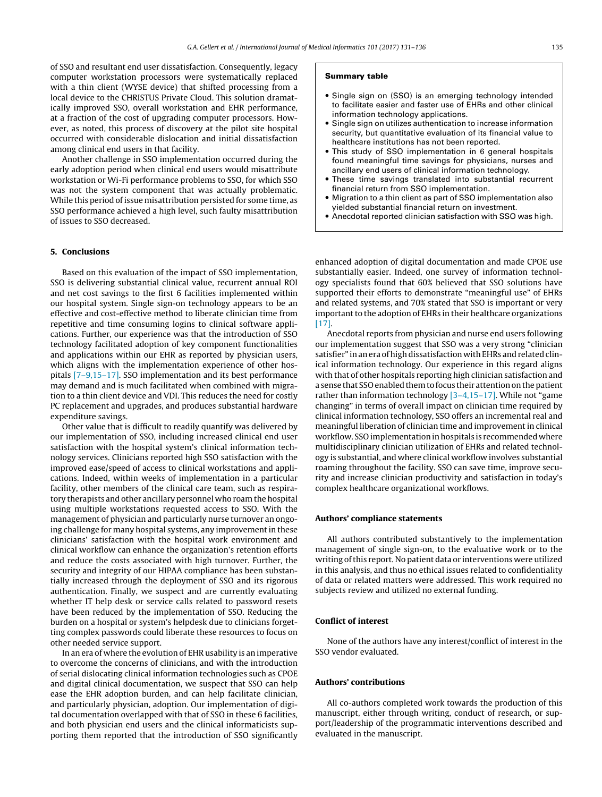of SSO and resultant end user dissatisfaction. Consequently, legacy computer workstation processors were systematically replaced with a thin client (WYSE device) that shifted processing from a local device to the CHRISTUS Private Cloud. This solution dramatically improved SSO, overall workstation and EHR performance, at a fraction of the cost of upgrading computer processors. However, as noted, this process of discovery at the pilot site hospital occurred with considerable dislocation and initial dissatisfaction among clinical end users in that facility.

Another challenge in SSO implementation occurred during the early adoption period when clinical end users would misattribute workstation or Wi-Fi performance problems to SSO, for which SSO was not the system component that was actually problematic. While this period of issue misattribution persisted for some time, as SSO performance achieved a high level, such faulty misattribution of issues to SSO decreased.

#### **5. Conclusions**

Based on this evaluation of the impact of SSO implementation, SSO is delivering substantial clinical value, recurrent annual ROI and net cost savings to the first 6 facilities implemented within our hospital system. Single sign-on technology appears to be an effective and cost-effective method to liberate clinician time from repetitive and time consuming logins to clinical software applications. Further, our experience was that the introduction of SSO technology facilitated adoption of key component functionalities and applications within our EHR as reported by physician users, which aligns with the implementation experience of other hospitals [\[7–9,15–17\].](#page-5-0) SSO implementation and its best performance may demand and is much facilitated when combined with migration to a thin client device and VDI. This reduces the need for costly PC replacement and upgrades, and produces substantial hardware expenditure savings.

Other value that is difficult to readily quantify was delivered by our implementation of SSO, including increased clinical end user satisfaction with the hospital system's clinical information technology services. Clinicians reported high SSO satisfaction with the improved ease/speed of access to clinical workstations and applications. Indeed, within weeks of implementation in a particular facility, other members of the clinical care team, such as respiratory therapists and other ancillary personnel who roam the hospital using multiple workstations requested access to SSO. With the management of physician and particularly nurse turnover an ongoing challenge for many hospital systems, any improvement in these clinicians' satisfaction with the hospital work environment and clinical workflow can enhance the organization's retention efforts and reduce the costs associated with high turnover. Further, the security and integrity of our HIPAA compliance has been substantially increased through the deployment of SSO and its rigorous authentication. Finally, we suspect and are currently evaluating whether IT help desk or service calls related to password resets have been reduced by the implementation of SSO. Reducing the burden on a hospital or system's helpdesk due to clinicians forgetting complex passwords could liberate these resources to focus on other needed service support.

In an era of where the evolution of EHR usability is an imperative to overcome the concerns of clinicians, and with the introduction of serial dislocating clinical information technologies such as CPOE and digital clinical documentation, we suspect that SSO can help ease the EHR adoption burden, and can help facilitate clinician, and particularly physician, adoption. Our implementation of digital documentation overlapped with that of SSO in these 6 facilities, and both physician end users and the clinical informaticists supporting them reported that the introduction of SSO significantly

#### **Summary table**

- Single sign on (SSO) is an emerging technology intended to facilitate easier and faster use of EHRs and other clinical information technology applications.
- Single sign on utilizes authentication to increase information security, but quantitative evaluation of its financial value to healthcare institutions has not been reported.
- This study of SSO implementation in 6 general hospitals found meaningful time savings for physicians, nurses and ancillary end users of clinical information technology.
- These time savings translated into substantial recurrent financial return from SSO implementation.
- Migration to a thin client as part of SSO implementation also yielded substantial financial return on investment.
- Anecdotal reported clinician satisfaction with SSO was high.

enhanced adoption of digital documentation and made CPOE use substantially easier. Indeed, one survey of information technology specialists found that 60% believed that SSO solutions have supported their efforts to demonstrate "meaningful use" of EHRs and related systems, and 70% stated that SSO is important or very important to the adoption of EHRs in their healthcare organizations [\[17\].](#page-5-0)

Anecdotal reports from physician and nurse end users following our implementation suggest that SSO was a very strong "clinician satisfier" in an era of high dissatisfaction with EHRs and related clinical information technology. Our experience in this regard aligns with that of other hospitals reporting high clinician satisfaction and a sense that SSO enabled them to focus their attention on the patient rather than information technology [\[3–4,15–17\].](#page-5-0) While not "game changing" in terms of overall impact on clinician time required by clinical information technology, SSO offers an incremental real and meaningful liberation of clinician time and improvement in clinical workflow. SSO implementation in hospitals is recommended where multidisciplinary clinician utilization of EHRs and related technology is substantial, and where clinical workflow involves substantial roaming throughout the facility. SSO can save time, improve security and increase clinician productivity and satisfaction in today's complex healthcare organizational workflows.

#### **Authors' compliance statements**

All authors contributed substantively to the implementation management of single sign-on, to the evaluative work or to the writing of this report. No patient data or interventions were utilized in this analysis, and thus no ethical issues related to confidentiality of data or related matters were addressed. This work required no subjects review and utilized no external funding.

#### **Conflict of interest**

None of the authors have any interest/conflict of interest in the SSO vendor evaluated.

# **Authors' contributions**

All co-authors completed work towards the production of this manuscript, either through writing, conduct of research, or support/leadership of the programmatic interventions described and evaluated in the manuscript.